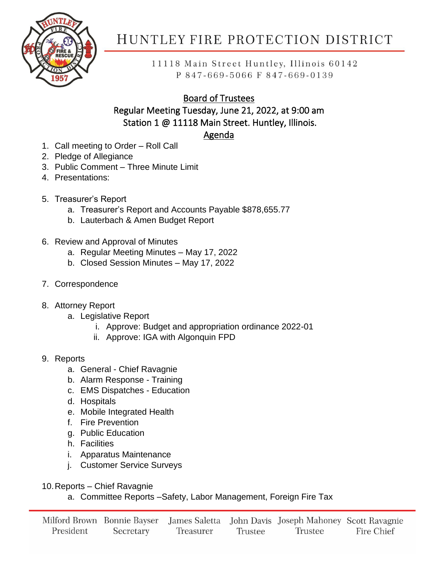

# HUNTLEY FIRE PROTECTION DISTRICT

11118 Main Street Huntley, Illinois 60142 P 847-669-5066 F 847-669-0139

## Board of Trustees

#### Regular Meeting Tuesday, June 21, 2022, at 9:00 am Station 1 @ 11118 Main Street. Huntley, Illinois.

## Agenda

- 1. Call meeting to Order Roll Call
- 2. Pledge of Allegiance
- 3. Public Comment Three Minute Limit
- 4. Presentations:
- 5. Treasurer's Report
	- a. Treasurer's Report and Accounts Payable \$878,655.77
	- b. Lauterbach & Amen Budget Report
- 6. Review and Approval of Minutes
	- a. Regular Meeting Minutes May 17, 2022
	- b. Closed Session Minutes May 17, 2022
- 7. Correspondence
- 8. Attorney Report
	- a. Legislative Report
		- i. Approve: Budget and appropriation ordinance 2022-01
		- ii. Approve: IGA with Algonquin FPD
- 9. Reports
	- a. General Chief Ravagnie
	- b. Alarm Response Training
	- c. EMS Dispatches Education
	- d. Hospitals
	- e. Mobile Integrated Health
	- f. Fire Prevention
	- g. Public Education
	- h. Facilities
	- i. Apparatus Maintenance
	- j. Customer Service Surveys
- 10.Reports Chief Ravagnie
	- a. Committee Reports –Safety, Labor Management, Foreign Fire Tax

|           |           |           |         | Milford Brown Bonnie Bayser James Saletta John Davis Joseph Mahoney Scott Ravagnie |            |
|-----------|-----------|-----------|---------|------------------------------------------------------------------------------------|------------|
| President | Secretary | Treasurer | Trustee | Trustee                                                                            | Fire Chief |